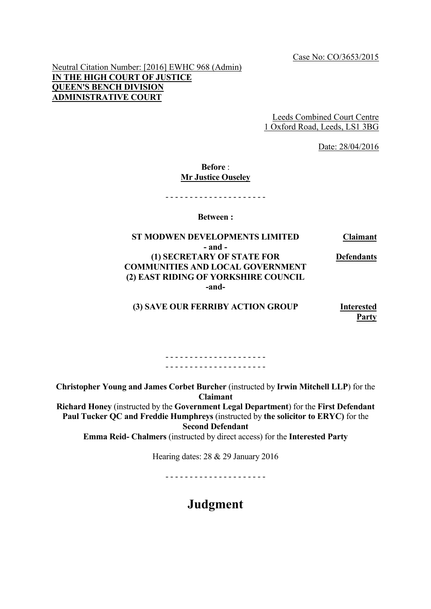Neutral Citation Number: [2016] EWHC 968 (Admin) **IN THE HIGH COURT OF JUSTICE QUEEN'S BENCH DIVISION ADMINISTRATIVE COURT**

> Leeds Combined Court Centre 1 Oxford Road, Leeds, LS1 3BG

> > Date: 28/04/2016

# **Before** : **Mr Justice Ouseley**

- - - - - - - - - - - - - - - - - - - - -

**Between :**

#### **ST MODWEN DEVELOPMENTS LIMITED Claimant - and - (1) SECRETARY OF STATE FOR COMMUNITIES AND LOCAL GOVERNMENT Defendants (2) EAST RIDING OF YORKSHIRE COUNCIL -and-**

**(3) SAVE OUR FERRIBY ACTION GROUP Interested** 

**Party**

- - - - - - - - - - - - - - - - - - - - - - - - - - - - - - - - - - - - - - - - - -

**Christopher Young and James Corbet Burcher** (instructed by **Irwin Mitchell LLP**) for the **Claimant**

**Richard Honey** (instructed by the **Government Legal Department**) for the **First Defendant Paul Tucker QC and Freddie Humphreys** (instructed by **the solicitor to ERYC)** for the **Second Defendant**

**Emma Reid- Chalmers** (instructed by direct access) for the **Interested Party**

Hearing dates: 28 & 29 January 2016

- - - - - - - - - - - - - - - - - - - - -

# **Judgment**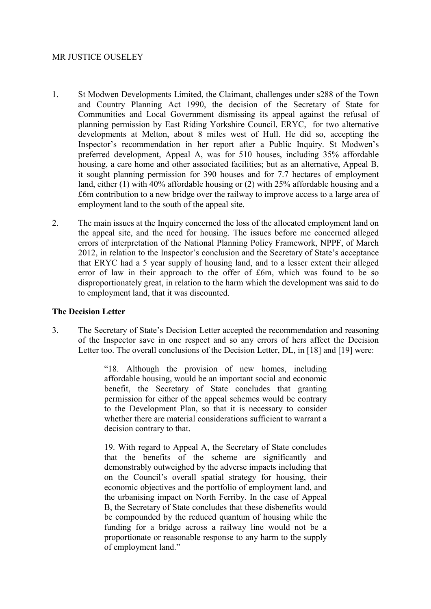## MR JUSTICE OUSELEY

- 1. St Modwen Developments Limited, the Claimant, challenges under s288 of the Town and Country Planning Act 1990, the decision of the Secretary of State for Communities and Local Government dismissing its appeal against the refusal of planning permission by East Riding Yorkshire Council, ERYC, for two alternative developments at Melton, about 8 miles west of Hull. He did so, accepting the Inspector's recommendation in her report after a Public Inquiry. St Modwen's preferred development, Appeal A, was for 510 houses, including 35% affordable housing, a care home and other associated facilities; but as an alternative, Appeal B, it sought planning permission for 390 houses and for 7.7 hectares of employment land, either (1) with 40% affordable housing or (2) with 25% affordable housing and a £6m contribution to a new bridge over the railway to improve access to a large area of employment land to the south of the appeal site.
- 2. The main issues at the Inquiry concerned the loss of the allocated employment land on the appeal site, and the need for housing. The issues before me concerned alleged errors of interpretation of the National Planning Policy Framework, NPPF, of March 2012, in relation to the Inspector's conclusion and the Secretary of State's acceptance that ERYC had a 5 year supply of housing land, and to a lesser extent their alleged error of law in their approach to the offer of £6m, which was found to be so disproportionately great, in relation to the harm which the development was said to do to employment land, that it was discounted.

#### **The Decision Letter**

3. The Secretary of State's Decision Letter accepted the recommendation and reasoning of the Inspector save in one respect and so any errors of hers affect the Decision Letter too. The overall conclusions of the Decision Letter, DL, in [18] and [19] were:

> "18. Although the provision of new homes, including affordable housing, would be an important social and economic benefit, the Secretary of State concludes that granting permission for either of the appeal schemes would be contrary to the Development Plan, so that it is necessary to consider whether there are material considerations sufficient to warrant a decision contrary to that.

> 19. With regard to Appeal A, the Secretary of State concludes that the benefits of the scheme are significantly and demonstrably outweighed by the adverse impacts including that on the Council's overall spatial strategy for housing, their economic objectives and the portfolio of employment land, and the urbanising impact on North Ferriby. In the case of Appeal B, the Secretary of State concludes that these disbenefits would be compounded by the reduced quantum of housing while the funding for a bridge across a railway line would not be a proportionate or reasonable response to any harm to the supply of employment land."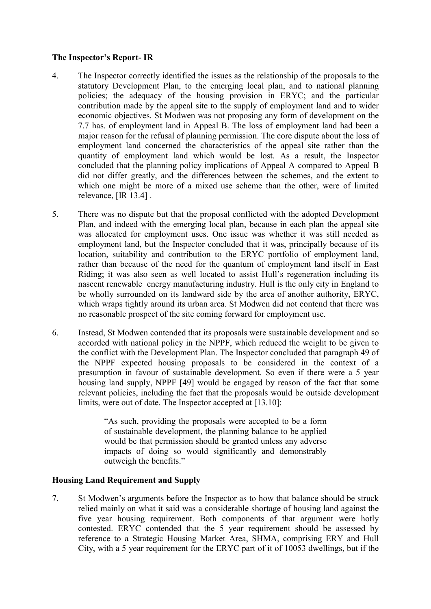# **The Inspector's Report- IR**

- 4. The Inspector correctly identified the issues as the relationship of the proposals to the statutory Development Plan, to the emerging local plan, and to national planning policies; the adequacy of the housing provision in ERYC; and the particular contribution made by the appeal site to the supply of employment land and to wider economic objectives. St Modwen was not proposing any form of development on the 7.7 has. of employment land in Appeal B. The loss of employment land had been a major reason for the refusal of planning permission. The core dispute about the loss of employment land concerned the characteristics of the appeal site rather than the quantity of employment land which would be lost. As a result, the Inspector concluded that the planning policy implications of Appeal A compared to Appeal B did not differ greatly, and the differences between the schemes, and the extent to which one might be more of a mixed use scheme than the other, were of limited relevance, [IR 13.4] .
- 5. There was no dispute but that the proposal conflicted with the adopted Development Plan, and indeed with the emerging local plan, because in each plan the appeal site was allocated for employment uses. One issue was whether it was still needed as employment land, but the Inspector concluded that it was, principally because of its location, suitability and contribution to the ERYC portfolio of employment land, rather than because of the need for the quantum of employment land itself in East Riding; it was also seen as well located to assist Hull's regeneration including its nascent renewable energy manufacturing industry. Hull is the only city in England to be wholly surrounded on its landward side by the area of another authority, ERYC, which wraps tightly around its urban area. St Modwen did not contend that there was no reasonable prospect of the site coming forward for employment use.
- 6. Instead, St Modwen contended that its proposals were sustainable development and so accorded with national policy in the NPPF, which reduced the weight to be given to the conflict with the Development Plan. The Inspector concluded that paragraph 49 of the NPPF expected housing proposals to be considered in the context of a presumption in favour of sustainable development. So even if there were a 5 year housing land supply, NPPF [49] would be engaged by reason of the fact that some relevant policies, including the fact that the proposals would be outside development limits, were out of date. The Inspector accepted at [13.10]:

"As such, providing the proposals were accepted to be a form of sustainable development, the planning balance to be applied would be that permission should be granted unless any adverse impacts of doing so would significantly and demonstrably outweigh the benefits."

# **Housing Land Requirement and Supply**

7. St Modwen's arguments before the Inspector as to how that balance should be struck relied mainly on what it said was a considerable shortage of housing land against the five year housing requirement. Both components of that argument were hotly contested. ERYC contended that the 5 year requirement should be assessed by reference to a Strategic Housing Market Area, SHMA, comprising ERY and Hull City, with a 5 year requirement for the ERYC part of it of 10053 dwellings, but if the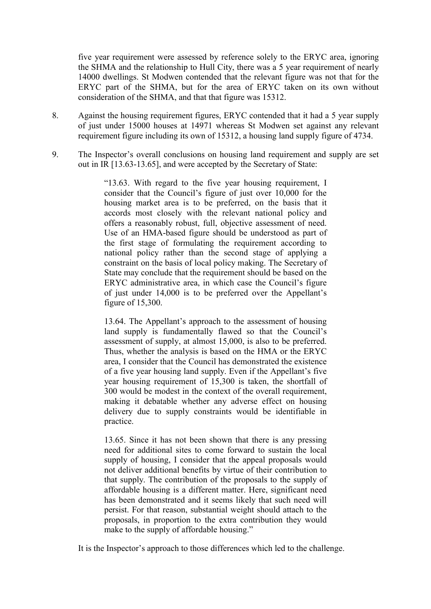five year requirement were assessed by reference solely to the ERYC area, ignoring the SHMA and the relationship to Hull City, there was a 5 year requirement of nearly 14000 dwellings. St Modwen contended that the relevant figure was not that for the ERYC part of the SHMA, but for the area of ERYC taken on its own without consideration of the SHMA, and that that figure was 15312.

- 8. Against the housing requirement figures, ERYC contended that it had a 5 year supply of just under 15000 houses at 14971 whereas St Modwen set against any relevant requirement figure including its own of 15312, a housing land supply figure of 4734.
- 9. The Inspector's overall conclusions on housing land requirement and supply are set out in IR [13.63-13.65], and were accepted by the Secretary of State:

"13.63. With regard to the five year housing requirement, I consider that the Council's figure of just over 10,000 for the housing market area is to be preferred, on the basis that it accords most closely with the relevant national policy and offers a reasonably robust, full, objective assessment of need. Use of an HMA-based figure should be understood as part of the first stage of formulating the requirement according to national policy rather than the second stage of applying a constraint on the basis of local policy making. The Secretary of State may conclude that the requirement should be based on the ERYC administrative area, in which case the Council's figure of just under 14,000 is to be preferred over the Appellant's figure of 15,300.

13.64. The Appellant's approach to the assessment of housing land supply is fundamentally flawed so that the Council's assessment of supply, at almost 15,000, is also to be preferred. Thus, whether the analysis is based on the HMA or the ERYC area, I consider that the Council has demonstrated the existence of a five year housing land supply. Even if the Appellant's five year housing requirement of 15,300 is taken, the shortfall of 300 would be modest in the context of the overall requirement, making it debatable whether any adverse effect on housing delivery due to supply constraints would be identifiable in practice.

13.65. Since it has not been shown that there is any pressing need for additional sites to come forward to sustain the local supply of housing, I consider that the appeal proposals would not deliver additional benefits by virtue of their contribution to that supply. The contribution of the proposals to the supply of affordable housing is a different matter. Here, significant need has been demonstrated and it seems likely that such need will persist. For that reason, substantial weight should attach to the proposals, in proportion to the extra contribution they would make to the supply of affordable housing."

It is the Inspector's approach to those differences which led to the challenge.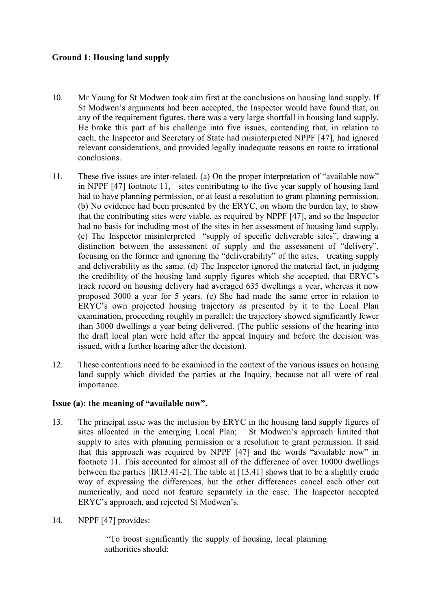# **Ground 1: Housing land supply**

- 10. Mr Young for St Modwen took aim first at the conclusions on housing land supply. If St Modwen's arguments had been accepted, the Inspector would have found that, on any of the requirement figures, there was a very large shortfall in housing land supply. He broke this part of his challenge into five issues, contending that, in relation to each, the Inspector and Secretary of State had misinterpreted NPPF [47], had ignored relevant considerations, and provided legally inadequate reasons en route to irrational conclusions.
- 11. These five issues are inter-related. (a) On the proper interpretation of "available now" in NPPF [47] footnote 11, sites contributing to the five year supply of housing land had to have planning permission, or at least a resolution to grant planning permission. (b) No evidence had been presented by the ERYC, on whom the burden lay, to show that the contributing sites were viable, as required by NPPF [47], and so the Inspector had no basis for including most of the sites in her assessment of housing land supply. (c) The Inspector misinterpreted "supply of specific deliverable sites", drawing a distinction between the assessment of supply and the assessment of "delivery", focusing on the former and ignoring the "deliverability" of the sites, treating supply and deliverability as the same. (d) The Inspector ignored the material fact, in judging the credibility of the housing land supply figures which she accepted, that ERYC's track record on housing delivery had averaged 635 dwellings a year, whereas it now proposed 3000 a year for 5 years. (e) She had made the same error in relation to ERYC's own projected housing trajectory as presented by it to the Local Plan examination, proceeding roughly in parallel: the trajectory showed significantly fewer than 3000 dwellings a year being delivered. (The public sessions of the hearing into the draft local plan were held after the appeal Inquiry and before the decision was issued, with a further hearing after the decision).
- 12. These contentions need to be examined in the context of the various issues on housing land supply which divided the parties at the Inquiry, because not all were of real importance.

# **Issue (a): the meaning of "available now".**

- 13. The principal issue was the inclusion by ERYC in the housing land supply figures of sites allocated in the emerging Local Plan; St Modwen's approach limited that supply to sites with planning permission or a resolution to grant permission. It said that this approach was required by NPPF [47] and the words "available now" in footnote 11. This accounted for almost all of the difference of over 10000 dwellings between the parties [IR13.41-2]. The table at [13.41] shows that to be a slightly crude way of expressing the differences, but the other differences cancel each other out numerically, and need not feature separately in the case. The Inspector accepted ERYC's approach, and rejected St Modwen's.
- 14. NPPF [47] provides:

"To boost significantly the supply of housing, local planning authorities should: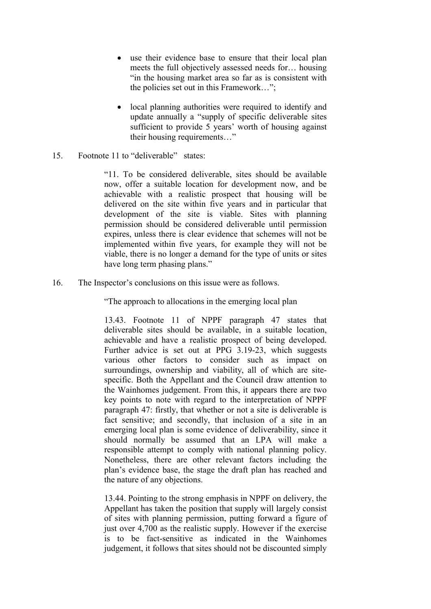- use their evidence base to ensure that their local plan meets the full objectively assessed needs for… housing "in the housing market area so far as is consistent with the policies set out in this Framework…";
- local planning authorities were required to identify and update annually a "supply of specific deliverable sites sufficient to provide 5 years' worth of housing against their housing requirements…"
- 15. Footnote 11 to "deliverable" states:

"11. To be considered deliverable, sites should be available now, offer a suitable location for development now, and be achievable with a realistic prospect that housing will be delivered on the site within five years and in particular that development of the site is viable. Sites with planning permission should be considered deliverable until permission expires, unless there is clear evidence that schemes will not be implemented within five years, for example they will not be viable, there is no longer a demand for the type of units or sites have long term phasing plans."

16. The Inspector's conclusions on this issue were as follows.

"The approach to allocations in the emerging local plan

13.43. Footnote 11 of NPPF paragraph 47 states that deliverable sites should be available, in a suitable location, achievable and have a realistic prospect of being developed. Further advice is set out at PPG 3.19-23, which suggests various other factors to consider such as impact on surroundings, ownership and viability, all of which are sitespecific. Both the Appellant and the Council draw attention to the Wainhomes judgement. From this, it appears there are two key points to note with regard to the interpretation of NPPF paragraph 47: firstly, that whether or not a site is deliverable is fact sensitive; and secondly, that inclusion of a site in an emerging local plan is some evidence of deliverability, since it should normally be assumed that an LPA will make a responsible attempt to comply with national planning policy. Nonetheless, there are other relevant factors including the plan's evidence base, the stage the draft plan has reached and the nature of any objections.

13.44. Pointing to the strong emphasis in NPPF on delivery, the Appellant has taken the position that supply will largely consist of sites with planning permission, putting forward a figure of just over 4,700 as the realistic supply. However if the exercise is to be fact-sensitive as indicated in the Wainhomes judgement, it follows that sites should not be discounted simply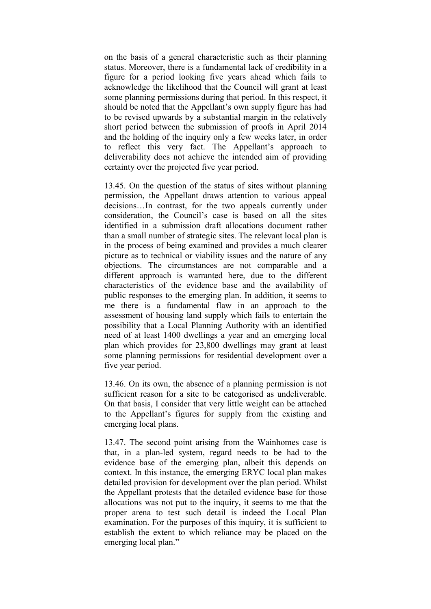on the basis of a general characteristic such as their planning status. Moreover, there is a fundamental lack of credibility in a figure for a period looking five years ahead which fails to acknowledge the likelihood that the Council will grant at least some planning permissions during that period. In this respect, it should be noted that the Appellant's own supply figure has had to be revised upwards by a substantial margin in the relatively short period between the submission of proofs in April 2014 and the holding of the inquiry only a few weeks later, in order to reflect this very fact. The Appellant's approach to deliverability does not achieve the intended aim of providing certainty over the projected five year period.

13.45. On the question of the status of sites without planning permission, the Appellant draws attention to various appeal decisions…In contrast, for the two appeals currently under consideration, the Council's case is based on all the sites identified in a submission draft allocations document rather than a small number of strategic sites. The relevant local plan is in the process of being examined and provides a much clearer picture as to technical or viability issues and the nature of any objections. The circumstances are not comparable and a different approach is warranted here, due to the different characteristics of the evidence base and the availability of public responses to the emerging plan. In addition, it seems to me there is a fundamental flaw in an approach to the assessment of housing land supply which fails to entertain the possibility that a Local Planning Authority with an identified need of at least 1400 dwellings a year and an emerging local plan which provides for 23,800 dwellings may grant at least some planning permissions for residential development over a five year period.

13.46. On its own, the absence of a planning permission is not sufficient reason for a site to be categorised as undeliverable. On that basis, I consider that very little weight can be attached to the Appellant's figures for supply from the existing and emerging local plans.

13.47. The second point arising from the Wainhomes case is that, in a plan-led system, regard needs to be had to the evidence base of the emerging plan, albeit this depends on context. In this instance, the emerging ERYC local plan makes detailed provision for development over the plan period. Whilst the Appellant protests that the detailed evidence base for those allocations was not put to the inquiry, it seems to me that the proper arena to test such detail is indeed the Local Plan examination. For the purposes of this inquiry, it is sufficient to establish the extent to which reliance may be placed on the emerging local plan."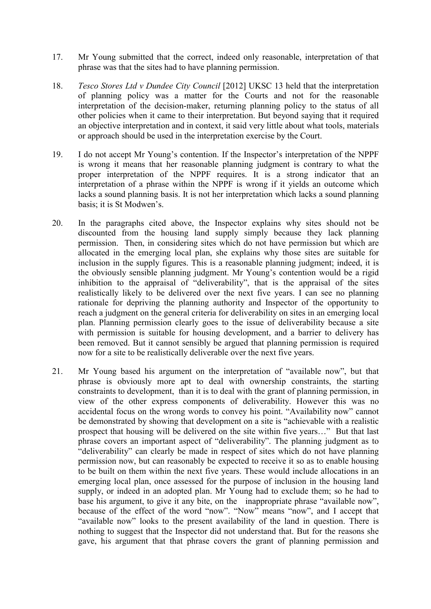- 17. Mr Young submitted that the correct, indeed only reasonable, interpretation of that phrase was that the sites had to have planning permission.
- 18. *Tesco Stores Ltd v Dundee City Council* [2012] UKSC 13 held that the interpretation of planning policy was a matter for the Courts and not for the reasonable interpretation of the decision-maker, returning planning policy to the status of all other policies when it came to their interpretation. But beyond saying that it required an objective interpretation and in context, it said very little about what tools, materials or approach should be used in the interpretation exercise by the Court.
- 19. I do not accept Mr Young's contention. If the Inspector's interpretation of the NPPF is wrong it means that her reasonable planning judgment is contrary to what the proper interpretation of the NPPF requires. It is a strong indicator that an interpretation of a phrase within the NPPF is wrong if it yields an outcome which lacks a sound planning basis. It is not her interpretation which lacks a sound planning basis; it is St Modwen's.
- 20. In the paragraphs cited above, the Inspector explains why sites should not be discounted from the housing land supply simply because they lack planning permission. Then, in considering sites which do not have permission but which are allocated in the emerging local plan, she explains why those sites are suitable for inclusion in the supply figures. This is a reasonable planning judgment; indeed, it is the obviously sensible planning judgment. Mr Young's contention would be a rigid inhibition to the appraisal of "deliverability", that is the appraisal of the sites realistically likely to be delivered over the next five years. I can see no planning rationale for depriving the planning authority and Inspector of the opportunity to reach a judgment on the general criteria for deliverability on sites in an emerging local plan. Planning permission clearly goes to the issue of deliverability because a site with permission is suitable for housing development, and a barrier to delivery has been removed. But it cannot sensibly be argued that planning permission is required now for a site to be realistically deliverable over the next five years.
- 21. Mr Young based his argument on the interpretation of "available now", but that phrase is obviously more apt to deal with ownership constraints, the starting constraints to development, than it is to deal with the grant of planning permission, in view of the other express components of deliverability. However this was no accidental focus on the wrong words to convey his point. "Availability now" cannot be demonstrated by showing that development on a site is "achievable with a realistic prospect that housing will be delivered on the site within five years…" But that last phrase covers an important aspect of "deliverability". The planning judgment as to "deliverability" can clearly be made in respect of sites which do not have planning permission now, but can reasonably be expected to receive it so as to enable housing to be built on them within the next five years. These would include allocations in an emerging local plan, once assessed for the purpose of inclusion in the housing land supply, or indeed in an adopted plan. Mr Young had to exclude them; so he had to base his argument, to give it any bite, on the inappropriate phrase "available now", because of the effect of the word "now". "Now" means "now", and I accept that "available now" looks to the present availability of the land in question. There is nothing to suggest that the Inspector did not understand that. But for the reasons she gave, his argument that that phrase covers the grant of planning permission and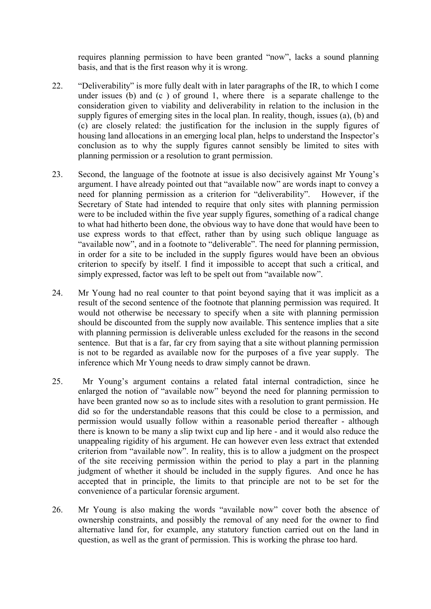requires planning permission to have been granted "now", lacks a sound planning basis, and that is the first reason why it is wrong.

- 22. "Deliverability" is more fully dealt with in later paragraphs of the IR, to which I come under issues (b) and (c ) of ground 1, where there is a separate challenge to the consideration given to viability and deliverability in relation to the inclusion in the supply figures of emerging sites in the local plan. In reality, though, issues (a), (b) and (c) are closely related: the justification for the inclusion in the supply figures of housing land allocations in an emerging local plan, helps to understand the Inspector's conclusion as to why the supply figures cannot sensibly be limited to sites with planning permission or a resolution to grant permission.
- 23. Second, the language of the footnote at issue is also decisively against Mr Young's argument. I have already pointed out that "available now" are words inapt to convey a need for planning permission as a criterion for "deliverability". However, if the Secretary of State had intended to require that only sites with planning permission were to be included within the five year supply figures, something of a radical change to what had hitherto been done, the obvious way to have done that would have been to use express words to that effect, rather than by using such oblique language as "available now", and in a footnote to "deliverable". The need for planning permission, in order for a site to be included in the supply figures would have been an obvious criterion to specify by itself. I find it impossible to accept that such a critical, and simply expressed, factor was left to be spelt out from "available now".
- 24. Mr Young had no real counter to that point beyond saying that it was implicit as a result of the second sentence of the footnote that planning permission was required. It would not otherwise be necessary to specify when a site with planning permission should be discounted from the supply now available. This sentence implies that a site with planning permission is deliverable unless excluded for the reasons in the second sentence. But that is a far, far cry from saying that a site without planning permission is not to be regarded as available now for the purposes of a five year supply. The inference which Mr Young needs to draw simply cannot be drawn.
- 25. Mr Young's argument contains a related fatal internal contradiction, since he enlarged the notion of "available now" beyond the need for planning permission to have been granted now so as to include sites with a resolution to grant permission. He did so for the understandable reasons that this could be close to a permission, and permission would usually follow within a reasonable period thereafter - although there is known to be many a slip twixt cup and lip here - and it would also reduce the unappealing rigidity of his argument. He can however even less extract that extended criterion from "available now". In reality, this is to allow a judgment on the prospect of the site receiving permission within the period to play a part in the planning judgment of whether it should be included in the supply figures. And once he has accepted that in principle, the limits to that principle are not to be set for the convenience of a particular forensic argument.
- 26. Mr Young is also making the words "available now" cover both the absence of ownership constraints, and possibly the removal of any need for the owner to find alternative land for, for example, any statutory function carried out on the land in question, as well as the grant of permission. This is working the phrase too hard.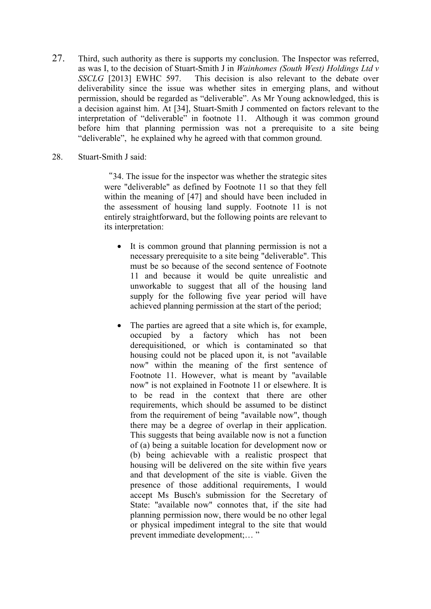- 27. Third, such authority as there is supports my conclusion. The Inspector was referred, as was I, to the decision of Stuart-Smith J in *Wainhomes (South West) Holdings Ltd v SSCLG* [2013] EWHC 597. This decision is also relevant to the debate over deliverability since the issue was whether sites in emerging plans, and without permission, should be regarded as "deliverable". As Mr Young acknowledged, this is a decision against him. At [34], Stuart-Smith J commented on factors relevant to the interpretation of "deliverable" in footnote 11. Although it was common ground before him that planning permission was not a prerequisite to a site being "deliverable", he explained why he agreed with that common ground.
- 28. Stuart-Smith J said:

"34. The issue for the inspector was whether the strategic sites were "deliverable" as defined by Footnote 11 so that they fell within the meaning of [47] and should have been included in the assessment of housing land supply. Footnote 11 is not entirely straightforward, but the following points are relevant to its interpretation:

- It is common ground that planning permission is not a necessary prerequisite to a site being "deliverable". This must be so because of the second sentence of Footnote 11 and because it would be quite unrealistic and unworkable to suggest that all of the housing land supply for the following five year period will have achieved planning permission at the start of the period;
- The parties are agreed that a site which is, for example, occupied by a factory which has not been derequisitioned, or which is contaminated so that housing could not be placed upon it, is not "available now" within the meaning of the first sentence of Footnote 11. However, what is meant by "available now" is not explained in Footnote 11 or elsewhere. It is to be read in the context that there are other requirements, which should be assumed to be distinct from the requirement of being "available now", though there may be a degree of overlap in their application. This suggests that being available now is not a function of (a) being a suitable location for development now or (b) being achievable with a realistic prospect that housing will be delivered on the site within five years and that development of the site is viable. Given the presence of those additional requirements, I would accept Ms Busch's submission for the Secretary of State: "available now" connotes that, if the site had planning permission now, there would be no other legal or physical impediment integral to the site that would prevent immediate development;… "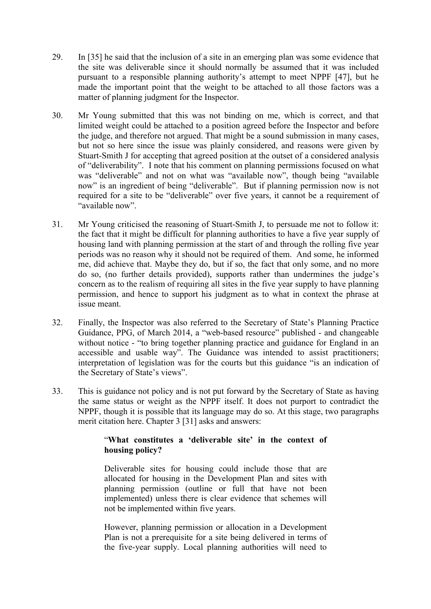- 29. In [35] he said that the inclusion of a site in an emerging plan was some evidence that the site was deliverable since it should normally be assumed that it was included pursuant to a responsible planning authority's attempt to meet NPPF [47], but he made the important point that the weight to be attached to all those factors was a matter of planning judgment for the Inspector.
- 30. Mr Young submitted that this was not binding on me, which is correct, and that limited weight could be attached to a position agreed before the Inspector and before the judge, and therefore not argued. That might be a sound submission in many cases, but not so here since the issue was plainly considered, and reasons were given by Stuart-Smith J for accepting that agreed position at the outset of a considered analysis of "deliverability". I note that his comment on planning permissions focused on what was "deliverable" and not on what was "available now", though being "available now" is an ingredient of being "deliverable". But if planning permission now is not required for a site to be "deliverable" over five years, it cannot be a requirement of "available now".
- 31. Mr Young criticised the reasoning of Stuart-Smith J, to persuade me not to follow it: the fact that it might be difficult for planning authorities to have a five year supply of housing land with planning permission at the start of and through the rolling five year periods was no reason why it should not be required of them. And some, he informed me, did achieve that. Maybe they do, but if so, the fact that only some, and no more do so, (no further details provided), supports rather than undermines the judge's concern as to the realism of requiring all sites in the five year supply to have planning permission, and hence to support his judgment as to what in context the phrase at issue meant.
- 32. Finally, the Inspector was also referred to the Secretary of State's Planning Practice Guidance, PPG, of March 2014, a "web-based resource" published - and changeable without notice - "to bring together planning practice and guidance for England in an accessible and usable way". The Guidance was intended to assist practitioners; interpretation of legislation was for the courts but this guidance "is an indication of the Secretary of State's views".
- 33. This is guidance not policy and is not put forward by the Secretary of State as having the same status or weight as the NPPF itself. It does not purport to contradict the NPPF, though it is possible that its language may do so. At this stage, two paragraphs merit citation here. Chapter 3 [31] asks and answers:

# "**What constitutes a 'deliverable site' in the context of housing policy?**

Deliverable sites for housing could include those that are allocated for housing in the Development Plan and sites with planning permission (outline or full that have not been implemented) unless there is clear evidence that schemes will not be implemented within five years.

However, planning permission or allocation in a Development Plan is not a prerequisite for a site being delivered in terms of the five-year supply. Local planning authorities will need to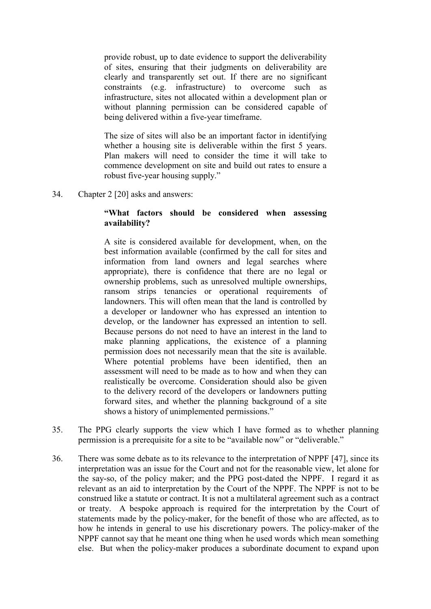provide robust, up to date evidence to support the deliverability of sites, ensuring that their judgments on deliverability are clearly and transparently set out. If there are no significant constraints (e.g. infrastructure) to overcome such as infrastructure, sites not allocated within a development plan or without planning permission can be considered capable of being delivered within a five-year timeframe.

The size of sites will also be an important factor in identifying whether a housing site is deliverable within the first 5 years. Plan makers will need to consider the time it will take to commence development on site and build out rates to ensure a robust five-year housing supply."

34. Chapter 2 [20] asks and answers:

## **"What factors should be considered when assessing availability?**

A site is considered available for development, when, on the best information available (confirmed by the call for sites and information from land owners and legal searches where appropriate), there is confidence that there are no legal or ownership problems, such as unresolved multiple ownerships, ransom strips tenancies or operational requirements of landowners. This will often mean that the land is controlled by a developer or landowner who has expressed an intention to develop, or the landowner has expressed an intention to sell. Because persons do not need to have an interest in the land to make planning applications, the existence of a planning permission does not necessarily mean that the site is available. Where potential problems have been identified, then an assessment will need to be made as to how and when they can realistically be overcome. Consideration should also be given to the delivery record of the developers or landowners putting forward sites, and whether the planning background of a site shows a history of unimplemented permissions."

- 35. The PPG clearly supports the view which I have formed as to whether planning permission is a prerequisite for a site to be "available now" or "deliverable."
- 36. There was some debate as to its relevance to the interpretation of NPPF [47], since its interpretation was an issue for the Court and not for the reasonable view, let alone for the say-so, of the policy maker; and the PPG post-dated the NPPF. I regard it as relevant as an aid to interpretation by the Court of the NPPF. The NPPF is not to be construed like a statute or contract. It is not a multilateral agreement such as a contract or treaty. A bespoke approach is required for the interpretation by the Court of statements made by the policy-maker, for the benefit of those who are affected, as to how he intends in general to use his discretionary powers. The policy-maker of the NPPF cannot say that he meant one thing when he used words which mean something else. But when the policy-maker produces a subordinate document to expand upon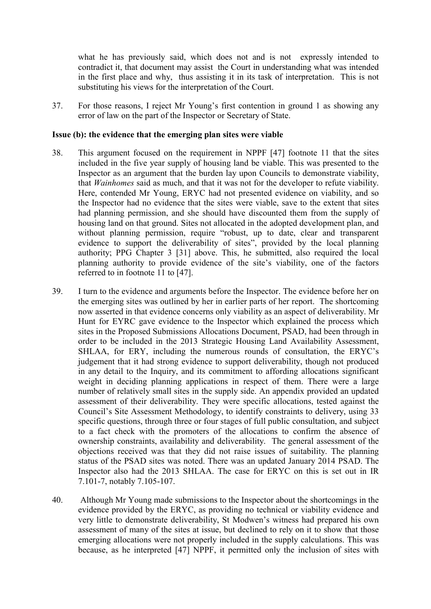what he has previously said, which does not and is not expressly intended to contradict it, that document may assist the Court in understanding what was intended in the first place and why, thus assisting it in its task of interpretation. This is not substituting his views for the interpretation of the Court.

37. For those reasons, I reject Mr Young's first contention in ground 1 as showing any error of law on the part of the Inspector or Secretary of State.

#### **Issue (b): the evidence that the emerging plan sites were viable**

- 38. This argument focused on the requirement in NPPF [47] footnote 11 that the sites included in the five year supply of housing land be viable. This was presented to the Inspector as an argument that the burden lay upon Councils to demonstrate viability, that *Wainhomes* said as much, and that it was not for the developer to refute viability. Here, contended Mr Young, ERYC had not presented evidence on viability, and so the Inspector had no evidence that the sites were viable, save to the extent that sites had planning permission, and she should have discounted them from the supply of housing land on that ground. Sites not allocated in the adopted development plan, and without planning permission, require "robust, up to date, clear and transparent evidence to support the deliverability of sites", provided by the local planning authority; PPG Chapter 3 [31] above. This, he submitted, also required the local planning authority to provide evidence of the site's viability, one of the factors referred to in footnote 11 to [47].
- 39. I turn to the evidence and arguments before the Inspector. The evidence before her on the emerging sites was outlined by her in earlier parts of her report. The shortcoming now asserted in that evidence concerns only viability as an aspect of deliverability. Mr Hunt for EYRC gave evidence to the Inspector which explained the process which sites in the Proposed Submissions Allocations Document, PSAD, had been through in order to be included in the 2013 Strategic Housing Land Availability Assessment, SHLAA, for ERY, including the numerous rounds of consultation, the ERYC's judgement that it had strong evidence to support deliverability, though not produced in any detail to the Inquiry, and its commitment to affording allocations significant weight in deciding planning applications in respect of them. There were a large number of relatively small sites in the supply side. An appendix provided an updated assessment of their deliverability. They were specific allocations, tested against the Council's Site Assessment Methodology, to identify constraints to delivery, using 33 specific questions, through three or four stages of full public consultation, and subject to a fact check with the promoters of the allocations to confirm the absence of ownership constraints, availability and deliverability. The general assessment of the objections received was that they did not raise issues of suitability. The planning status of the PSAD sites was noted. There was an updated January 2014 PSAD. The Inspector also had the 2013 SHLAA. The case for ERYC on this is set out in IR 7.101-7, notably 7.105-107.
- 40. Although Mr Young made submissions to the Inspector about the shortcomings in the evidence provided by the ERYC, as providing no technical or viability evidence and very little to demonstrate deliverability, St Modwen's witness had prepared his own assessment of many of the sites at issue, but declined to rely on it to show that those emerging allocations were not properly included in the supply calculations. This was because, as he interpreted [47] NPPF, it permitted only the inclusion of sites with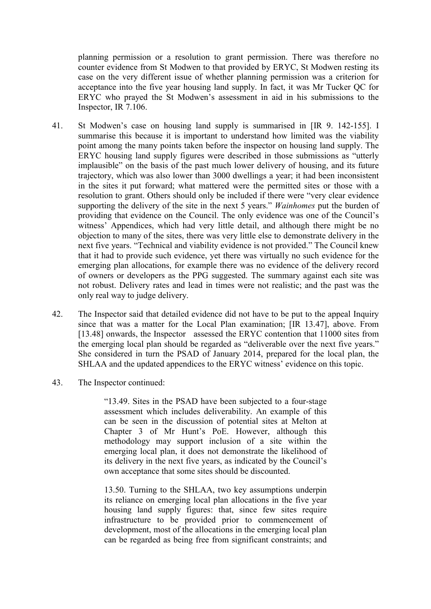planning permission or a resolution to grant permission. There was therefore no counter evidence from St Modwen to that provided by ERYC, St Modwen resting its case on the very different issue of whether planning permission was a criterion for acceptance into the five year housing land supply. In fact, it was Mr Tucker QC for ERYC who prayed the St Modwen's assessment in aid in his submissions to the Inspector, IR 7.106.

- 41. St Modwen's case on housing land supply is summarised in [IR 9. 142-155]. I summarise this because it is important to understand how limited was the viability point among the many points taken before the inspector on housing land supply. The ERYC housing land supply figures were described in those submissions as "utterly implausible" on the basis of the past much lower delivery of housing, and its future trajectory, which was also lower than 3000 dwellings a year; it had been inconsistent in the sites it put forward; what mattered were the permitted sites or those with a resolution to grant. Others should only be included if there were "very clear evidence supporting the delivery of the site in the next 5 years." *Wainhomes* put the burden of providing that evidence on the Council. The only evidence was one of the Council's witness' Appendices, which had very little detail, and although there might be no objection to many of the sites, there was very little else to demonstrate delivery in the next five years. "Technical and viability evidence is not provided." The Council knew that it had to provide such evidence, yet there was virtually no such evidence for the emerging plan allocations, for example there was no evidence of the delivery record of owners or developers as the PPG suggested. The summary against each site was not robust. Delivery rates and lead in times were not realistic; and the past was the only real way to judge delivery.
- 42. The Inspector said that detailed evidence did not have to be put to the appeal Inquiry since that was a matter for the Local Plan examination; [IR 13.47], above. From [13.48] onwards, the Inspector assessed the ERYC contention that 11000 sites from the emerging local plan should be regarded as "deliverable over the next five years." She considered in turn the PSAD of January 2014, prepared for the local plan, the SHLAA and the updated appendices to the ERYC witness' evidence on this topic.
- 43. The Inspector continued:

"13.49. Sites in the PSAD have been subjected to a four-stage assessment which includes deliverability. An example of this can be seen in the discussion of potential sites at Melton at Chapter 3 of Mr Hunt's PoE. However, although this methodology may support inclusion of a site within the emerging local plan, it does not demonstrate the likelihood of its delivery in the next five years, as indicated by the Council's own acceptance that some sites should be discounted.

13.50. Turning to the SHLAA, two key assumptions underpin its reliance on emerging local plan allocations in the five year housing land supply figures: that, since few sites require infrastructure to be provided prior to commencement of development, most of the allocations in the emerging local plan can be regarded as being free from significant constraints; and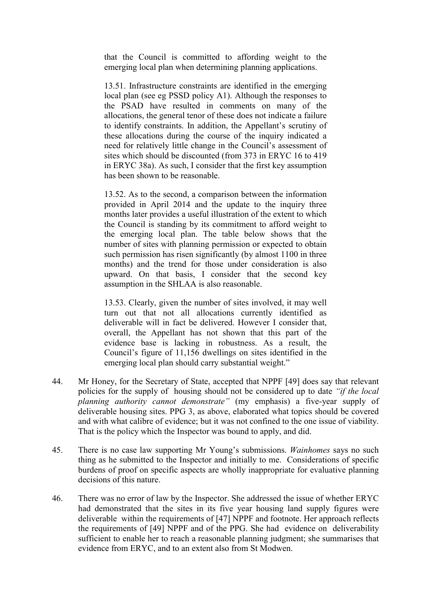that the Council is committed to affording weight to the emerging local plan when determining planning applications.

13.51. Infrastructure constraints are identified in the emerging local plan (see eg PSSD policy A1). Although the responses to the PSAD have resulted in comments on many of the allocations, the general tenor of these does not indicate a failure to identify constraints. In addition, the Appellant's scrutiny of these allocations during the course of the inquiry indicated a need for relatively little change in the Council's assessment of sites which should be discounted (from 373 in ERYC 16 to 419 in ERYC 38a). As such, I consider that the first key assumption has been shown to be reasonable.

13.52. As to the second, a comparison between the information provided in April 2014 and the update to the inquiry three months later provides a useful illustration of the extent to which the Council is standing by its commitment to afford weight to the emerging local plan. The table below shows that the number of sites with planning permission or expected to obtain such permission has risen significantly (by almost 1100 in three months) and the trend for those under consideration is also upward. On that basis, I consider that the second key assumption in the SHLAA is also reasonable.

13.53. Clearly, given the number of sites involved, it may well turn out that not all allocations currently identified as deliverable will in fact be delivered. However I consider that, overall, the Appellant has not shown that this part of the evidence base is lacking in robustness. As a result, the Council's figure of 11,156 dwellings on sites identified in the emerging local plan should carry substantial weight."

- 44. Mr Honey, for the Secretary of State, accepted that NPPF [49] does say that relevant policies for the supply of housing should not be considered up to date *"if the local planning authority cannot demonstrate*" (my emphasis) a five-year supply of deliverable housing sites. PPG 3, as above, elaborated what topics should be covered and with what calibre of evidence; but it was not confined to the one issue of viability. That is the policy which the Inspector was bound to apply, and did.
- 45. There is no case law supporting Mr Young's submissions. *Wainhomes* says no such thing as he submitted to the Inspector and initially to me. Considerations of specific burdens of proof on specific aspects are wholly inappropriate for evaluative planning decisions of this nature.
- 46. There was no error of law by the Inspector. She addressed the issue of whether ERYC had demonstrated that the sites in its five year housing land supply figures were deliverable within the requirements of [47] NPPF and footnote. Her approach reflects the requirements of [49] NPPF and of the PPG. She had evidence on deliverability sufficient to enable her to reach a reasonable planning judgment; she summarises that evidence from ERYC, and to an extent also from St Modwen.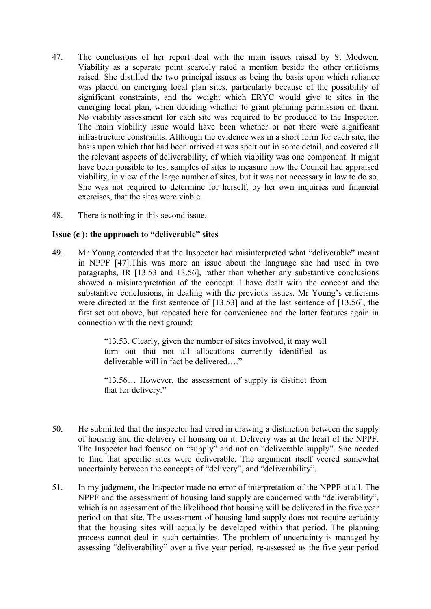- 47. The conclusions of her report deal with the main issues raised by St Modwen. Viability as a separate point scarcely rated a mention beside the other criticisms raised. She distilled the two principal issues as being the basis upon which reliance was placed on emerging local plan sites, particularly because of the possibility of significant constraints, and the weight which ERYC would give to sites in the emerging local plan, when deciding whether to grant planning permission on them. No viability assessment for each site was required to be produced to the Inspector. The main viability issue would have been whether or not there were significant infrastructure constraints. Although the evidence was in a short form for each site, the basis upon which that had been arrived at was spelt out in some detail, and covered all the relevant aspects of deliverability, of which viability was one component. It might have been possible to test samples of sites to measure how the Council had appraised viability, in view of the large number of sites, but it was not necessary in law to do so. She was not required to determine for herself, by her own inquiries and financial exercises, that the sites were viable.
- 48. There is nothing in this second issue.

# **Issue (c ): the approach to "deliverable" sites**

49. Mr Young contended that the Inspector had misinterpreted what "deliverable" meant in NPPF [47].This was more an issue about the language she had used in two paragraphs, IR [13.53 and 13.56], rather than whether any substantive conclusions showed a misinterpretation of the concept. I have dealt with the concept and the substantive conclusions, in dealing with the previous issues. Mr Young's criticisms were directed at the first sentence of [13.53] and at the last sentence of [13.56], the first set out above, but repeated here for convenience and the latter features again in connection with the next ground:

> "13.53. Clearly, given the number of sites involved, it may well turn out that not all allocations currently identified as deliverable will in fact be delivered…."

> "13.56… However, the assessment of supply is distinct from that for delivery."

- 50. He submitted that the inspector had erred in drawing a distinction between the supply of housing and the delivery of housing on it. Delivery was at the heart of the NPPF. The Inspector had focused on "supply" and not on "deliverable supply". She needed to find that specific sites were deliverable. The argument itself veered somewhat uncertainly between the concepts of "delivery", and "deliverability".
- 51. In my judgment, the Inspector made no error of interpretation of the NPPF at all. The NPPF and the assessment of housing land supply are concerned with "deliverability", which is an assessment of the likelihood that housing will be delivered in the five year period on that site. The assessment of housing land supply does not require certainty that the housing sites will actually be developed within that period. The planning process cannot deal in such certainties. The problem of uncertainty is managed by assessing "deliverability" over a five year period, re-assessed as the five year period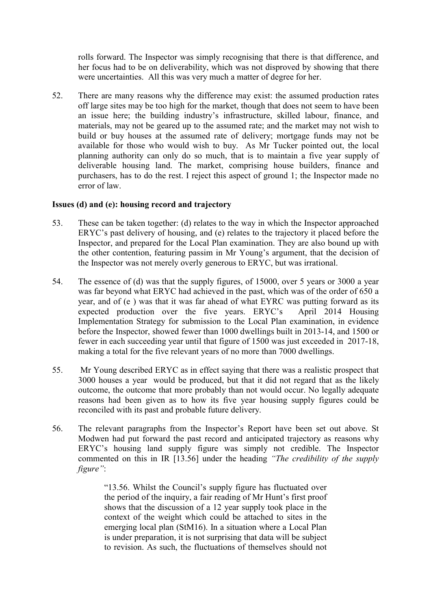rolls forward. The Inspector was simply recognising that there is that difference, and her focus had to be on deliverability, which was not disproved by showing that there were uncertainties. All this was very much a matter of degree for her.

52. There are many reasons why the difference may exist: the assumed production rates off large sites may be too high for the market, though that does not seem to have been an issue here; the building industry's infrastructure, skilled labour, finance, and materials, may not be geared up to the assumed rate; and the market may not wish to build or buy houses at the assumed rate of delivery; mortgage funds may not be available for those who would wish to buy. As Mr Tucker pointed out, the local planning authority can only do so much, that is to maintain a five year supply of deliverable housing land. The market, comprising house builders, finance and purchasers, has to do the rest. I reject this aspect of ground 1; the Inspector made no error of law.

#### **Issues (d) and (e): housing record and trajectory**

- 53. These can be taken together: (d) relates to the way in which the Inspector approached ERYC's past delivery of housing, and (e) relates to the trajectory it placed before the Inspector, and prepared for the Local Plan examination. They are also bound up with the other contention, featuring passim in Mr Young's argument, that the decision of the Inspector was not merely overly generous to ERYC, but was irrational.
- 54. The essence of (d) was that the supply figures, of 15000, over 5 years or 3000 a year was far beyond what ERYC had achieved in the past, which was of the order of 650 a year, and of (e ) was that it was far ahead of what EYRC was putting forward as its expected production over the five years. ERYC's April 2014 Housing Implementation Strategy for submission to the Local Plan examination, in evidence before the Inspector, showed fewer than 1000 dwellings built in 2013-14, and 1500 or fewer in each succeeding year until that figure of 1500 was just exceeded in 2017-18, making a total for the five relevant years of no more than 7000 dwellings.
- 55. Mr Young described ERYC as in effect saying that there was a realistic prospect that 3000 houses a year would be produced, but that it did not regard that as the likely outcome, the outcome that more probably than not would occur. No legally adequate reasons had been given as to how its five year housing supply figures could be reconciled with its past and probable future delivery.
- 56. The relevant paragraphs from the Inspector's Report have been set out above. St Modwen had put forward the past record and anticipated trajectory as reasons why ERYC's housing land supply figure was simply not credible. The Inspector commented on this in IR [13.56] under the heading *"The credibility of the supply figure"*:

"13.56. Whilst the Council's supply figure has fluctuated over the period of the inquiry, a fair reading of Mr Hunt's first proof shows that the discussion of a 12 year supply took place in the context of the weight which could be attached to sites in the emerging local plan (StM16). In a situation where a Local Plan is under preparation, it is not surprising that data will be subject to revision. As such, the fluctuations of themselves should not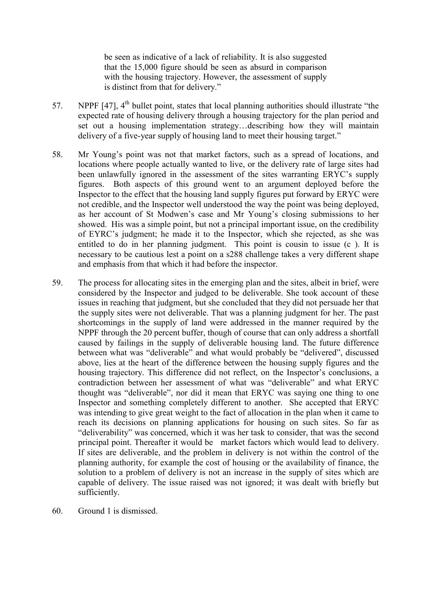be seen as indicative of a lack of reliability. It is also suggested that the 15,000 figure should be seen as absurd in comparison with the housing trajectory. However, the assessment of supply is distinct from that for delivery."

- 57. NPPF [47], 4<sup>th</sup> bullet point, states that local planning authorities should illustrate "the expected rate of housing delivery through a housing trajectory for the plan period and set out a housing implementation strategy…describing how they will maintain delivery of a five-year supply of housing land to meet their housing target."
- 58. Mr Young's point was not that market factors, such as a spread of locations, and locations where people actually wanted to live, or the delivery rate of large sites had been unlawfully ignored in the assessment of the sites warranting ERYC's supply figures. Both aspects of this ground went to an argument deployed before the Inspector to the effect that the housing land supply figures put forward by ERYC were not credible, and the Inspector well understood the way the point was being deployed, as her account of St Modwen's case and Mr Young's closing submissions to her showed. His was a simple point, but not a principal important issue, on the credibility of EYRC's judgment; he made it to the Inspector, which she rejected, as she was entitled to do in her planning judgment. This point is cousin to issue (c ). It is necessary to be cautious lest a point on a s288 challenge takes a very different shape and emphasis from that which it had before the inspector.
- 59. The process for allocating sites in the emerging plan and the sites, albeit in brief, were considered by the Inspector and judged to be deliverable. She took account of these issues in reaching that judgment, but she concluded that they did not persuade her that the supply sites were not deliverable. That was a planning judgment for her. The past shortcomings in the supply of land were addressed in the manner required by the NPPF through the 20 percent buffer, though of course that can only address a shortfall caused by failings in the supply of deliverable housing land. The future difference between what was "deliverable" and what would probably be "delivered", discussed above, lies at the heart of the difference between the housing supply figures and the housing trajectory. This difference did not reflect, on the Inspector's conclusions, a contradiction between her assessment of what was "deliverable" and what ERYC thought was "deliverable", nor did it mean that ERYC was saying one thing to one Inspector and something completely different to another. She accepted that ERYC was intending to give great weight to the fact of allocation in the plan when it came to reach its decisions on planning applications for housing on such sites. So far as "deliverability" was concerned, which it was her task to consider, that was the second principal point. Thereafter it would be market factors which would lead to delivery. If sites are deliverable, and the problem in delivery is not within the control of the planning authority, for example the cost of housing or the availability of finance, the solution to a problem of delivery is not an increase in the supply of sites which are capable of delivery. The issue raised was not ignored; it was dealt with briefly but sufficiently.
- 60. Ground 1 is dismissed.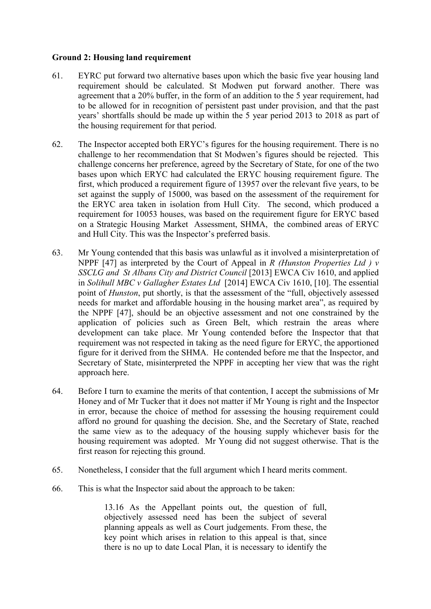## **Ground 2: Housing land requirement**

- 61. EYRC put forward two alternative bases upon which the basic five year housing land requirement should be calculated. St Modwen put forward another. There was agreement that a 20% buffer, in the form of an addition to the 5 year requirement, had to be allowed for in recognition of persistent past under provision, and that the past years' shortfalls should be made up within the 5 year period 2013 to 2018 as part of the housing requirement for that period.
- 62. The Inspector accepted both ERYC's figures for the housing requirement. There is no challenge to her recommendation that St Modwen's figures should be rejected. This challenge concerns her preference, agreed by the Secretary of State, for one of the two bases upon which ERYC had calculated the ERYC housing requirement figure. The first, which produced a requirement figure of 13957 over the relevant five years, to be set against the supply of 15000, was based on the assessment of the requirement for the ERYC area taken in isolation from Hull City. The second, which produced a requirement for 10053 houses, was based on the requirement figure for ERYC based on a Strategic Housing Market Assessment, SHMA, the combined areas of ERYC and Hull City. This was the Inspector's preferred basis.
- 63. Mr Young contended that this basis was unlawful as it involved a misinterpretation of NPPF [47] as interpreted by the Court of Appeal in *R (Hunston Properties Ltd ) v SSCLG and St Albans City and District Council* [2013] EWCA Civ 1610, and applied in *Solihull MBC v Gallagher Estates Ltd* [2014] EWCA Civ 1610, [10]. The essential point of *Hunston*, put shortly, is that the assessment of the "full, objectively assessed needs for market and affordable housing in the housing market area", as required by the NPPF [47], should be an objective assessment and not one constrained by the application of policies such as Green Belt, which restrain the areas where development can take place. Mr Young contended before the Inspector that that requirement was not respected in taking as the need figure for ERYC, the apportioned figure for it derived from the SHMA. He contended before me that the Inspector, and Secretary of State, misinterpreted the NPPF in accepting her view that was the right approach here.
- 64. Before I turn to examine the merits of that contention, I accept the submissions of Mr Honey and of Mr Tucker that it does not matter if Mr Young is right and the Inspector in error, because the choice of method for assessing the housing requirement could afford no ground for quashing the decision. She, and the Secretary of State, reached the same view as to the adequacy of the housing supply whichever basis for the housing requirement was adopted. Mr Young did not suggest otherwise. That is the first reason for rejecting this ground.
- 65. Nonetheless, I consider that the full argument which I heard merits comment.
- 66. This is what the Inspector said about the approach to be taken:

13.16 As the Appellant points out, the question of full, objectively assessed need has been the subject of several planning appeals as well as Court judgements. From these, the key point which arises in relation to this appeal is that, since there is no up to date Local Plan, it is necessary to identify the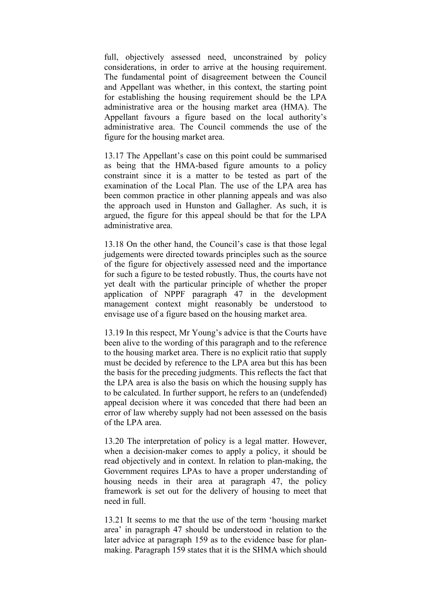full, objectively assessed need, unconstrained by policy considerations, in order to arrive at the housing requirement. The fundamental point of disagreement between the Council and Appellant was whether, in this context, the starting point for establishing the housing requirement should be the LPA administrative area or the housing market area (HMA). The Appellant favours a figure based on the local authority's administrative area. The Council commends the use of the figure for the housing market area.

13.17 The Appellant's case on this point could be summarised as being that the HMA-based figure amounts to a policy constraint since it is a matter to be tested as part of the examination of the Local Plan. The use of the LPA area has been common practice in other planning appeals and was also the approach used in Hunston and Gallagher. As such, it is argued, the figure for this appeal should be that for the LPA administrative area.

13.18 On the other hand, the Council's case is that those legal judgements were directed towards principles such as the source of the figure for objectively assessed need and the importance for such a figure to be tested robustly. Thus, the courts have not yet dealt with the particular principle of whether the proper application of NPPF paragraph 47 in the development management context might reasonably be understood to envisage use of a figure based on the housing market area.

13.19 In this respect, Mr Young's advice is that the Courts have been alive to the wording of this paragraph and to the reference to the housing market area. There is no explicit ratio that supply must be decided by reference to the LPA area but this has been the basis for the preceding judgments. This reflects the fact that the LPA area is also the basis on which the housing supply has to be calculated. In further support, he refers to an (undefended) appeal decision where it was conceded that there had been an error of law whereby supply had not been assessed on the basis of the LPA area.

13.20 The interpretation of policy is a legal matter. However, when a decision-maker comes to apply a policy, it should be read objectively and in context. In relation to plan-making, the Government requires LPAs to have a proper understanding of housing needs in their area at paragraph 47, the policy framework is set out for the delivery of housing to meet that need in full.

13.21 It seems to me that the use of the term 'housing market area' in paragraph 47 should be understood in relation to the later advice at paragraph 159 as to the evidence base for planmaking. Paragraph 159 states that it is the SHMA which should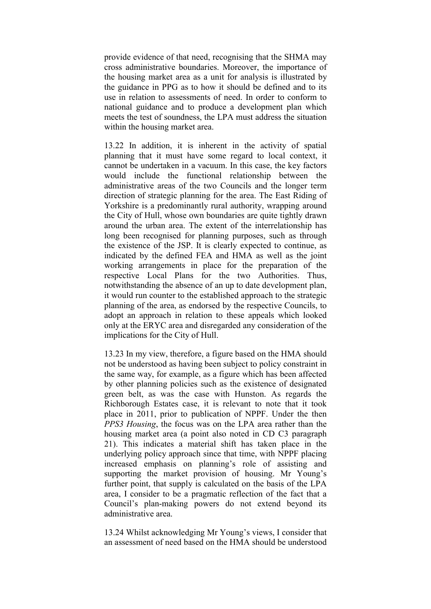provide evidence of that need, recognising that the SHMA may cross administrative boundaries. Moreover, the importance of the housing market area as a unit for analysis is illustrated by the guidance in PPG as to how it should be defined and to its use in relation to assessments of need. In order to conform to national guidance and to produce a development plan which meets the test of soundness, the LPA must address the situation within the housing market area.

13.22 In addition, it is inherent in the activity of spatial planning that it must have some regard to local context, it cannot be undertaken in a vacuum. In this case, the key factors would include the functional relationship between the administrative areas of the two Councils and the longer term direction of strategic planning for the area. The East Riding of Yorkshire is a predominantly rural authority, wrapping around the City of Hull, whose own boundaries are quite tightly drawn around the urban area. The extent of the interrelationship has long been recognised for planning purposes, such as through the existence of the JSP. It is clearly expected to continue, as indicated by the defined FEA and HMA as well as the joint working arrangements in place for the preparation of the respective Local Plans for the two Authorities. Thus, notwithstanding the absence of an up to date development plan, it would run counter to the established approach to the strategic planning of the area, as endorsed by the respective Councils, to adopt an approach in relation to these appeals which looked only at the ERYC area and disregarded any consideration of the implications for the City of Hull.

13.23 In my view, therefore, a figure based on the HMA should not be understood as having been subject to policy constraint in the same way, for example, as a figure which has been affected by other planning policies such as the existence of designated green belt, as was the case with Hunston. As regards the Richborough Estates case, it is relevant to note that it took place in 2011, prior to publication of NPPF. Under the then *PPS3 Housing*, the focus was on the LPA area rather than the housing market area (a point also noted in CD C3 paragraph 21). This indicates a material shift has taken place in the underlying policy approach since that time, with NPPF placing increased emphasis on planning's role of assisting and supporting the market provision of housing. Mr Young's further point, that supply is calculated on the basis of the LPA area, I consider to be a pragmatic reflection of the fact that a Council's plan-making powers do not extend beyond its administrative area.

13.24 Whilst acknowledging Mr Young's views, I consider that an assessment of need based on the HMA should be understood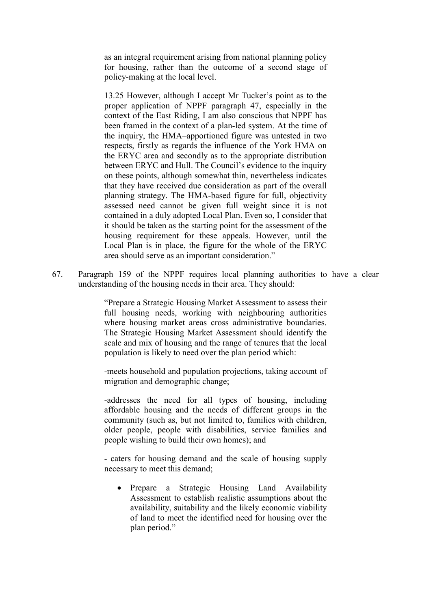as an integral requirement arising from national planning policy for housing, rather than the outcome of a second stage of policy-making at the local level.

13.25 However, although I accept Mr Tucker's point as to the proper application of NPPF paragraph 47, especially in the context of the East Riding, I am also conscious that NPPF has been framed in the context of a plan-led system. At the time of the inquiry, the HMA–apportioned figure was untested in two respects, firstly as regards the influence of the York HMA on the ERYC area and secondly as to the appropriate distribution between ERYC and Hull. The Council's evidence to the inquiry on these points, although somewhat thin, nevertheless indicates that they have received due consideration as part of the overall planning strategy. The HMA-based figure for full, objectivity assessed need cannot be given full weight since it is not contained in a duly adopted Local Plan. Even so, I consider that it should be taken as the starting point for the assessment of the housing requirement for these appeals. However, until the Local Plan is in place, the figure for the whole of the ERYC area should serve as an important consideration."

67. Paragraph 159 of the NPPF requires local planning authorities to have a clear understanding of the housing needs in their area. They should:

> "Prepare a Strategic Housing Market Assessment to assess their full housing needs, working with neighbouring authorities where housing market areas cross administrative boundaries. The Strategic Housing Market Assessment should identify the scale and mix of housing and the range of tenures that the local population is likely to need over the plan period which:

> -meets household and population projections, taking account of migration and demographic change;

> -addresses the need for all types of housing, including affordable housing and the needs of different groups in the community (such as, but not limited to, families with children, older people, people with disabilities, service families and people wishing to build their own homes); and

> - caters for housing demand and the scale of housing supply necessary to meet this demand;

• Prepare a Strategic Housing Land Availability Assessment to establish realistic assumptions about the availability, suitability and the likely economic viability of land to meet the identified need for housing over the plan period."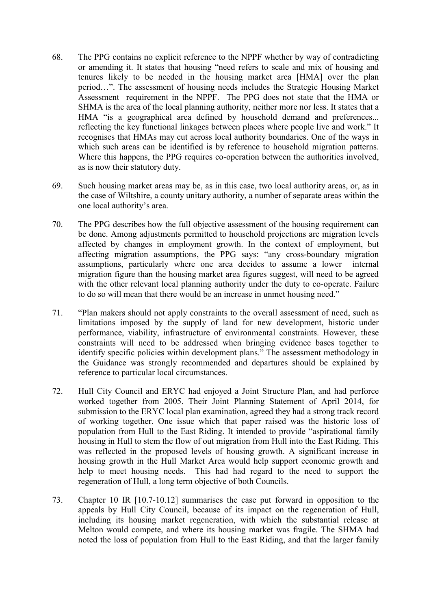- 68. The PPG contains no explicit reference to the NPPF whether by way of contradicting or amending it. It states that housing "need refers to scale and mix of housing and tenures likely to be needed in the housing market area [HMA] over the plan period…". The assessment of housing needs includes the Strategic Housing Market Assessment requirement in the NPPF. The PPG does not state that the HMA or SHMA is the area of the local planning authority, neither more nor less. It states that a HMA "is a geographical area defined by household demand and preferences... reflecting the key functional linkages between places where people live and work." It recognises that HMAs may cut across local authority boundaries. One of the ways in which such areas can be identified is by reference to household migration patterns. Where this happens, the PPG requires co-operation between the authorities involved, as is now their statutory duty.
- 69. Such housing market areas may be, as in this case, two local authority areas, or, as in the case of Wiltshire, a county unitary authority, a number of separate areas within the one local authority's area.
- 70. The PPG describes how the full objective assessment of the housing requirement can be done. Among adjustments permitted to household projections are migration levels affected by changes in employment growth. In the context of employment, but affecting migration assumptions, the PPG says: "any cross-boundary migration assumptions, particularly where one area decides to assume a lower internal migration figure than the housing market area figures suggest, will need to be agreed with the other relevant local planning authority under the duty to co-operate. Failure to do so will mean that there would be an increase in unmet housing need."
- 71. "Plan makers should not apply constraints to the overall assessment of need, such as limitations imposed by the supply of land for new development, historic under performance, viability, infrastructure of environmental constraints. However, these constraints will need to be addressed when bringing evidence bases together to identify specific policies within development plans." The assessment methodology in the Guidance was strongly recommended and departures should be explained by reference to particular local circumstances.
- 72. Hull City Council and ERYC had enjoyed a Joint Structure Plan, and had perforce worked together from 2005. Their Joint Planning Statement of April 2014, for submission to the ERYC local plan examination, agreed they had a strong track record of working together. One issue which that paper raised was the historic loss of population from Hull to the East Riding. It intended to provide "aspirational family housing in Hull to stem the flow of out migration from Hull into the East Riding. This was reflected in the proposed levels of housing growth. A significant increase in housing growth in the Hull Market Area would help support economic growth and help to meet housing needs. This had had regard to the need to support the regeneration of Hull, a long term objective of both Councils.
- 73. Chapter 10 IR [10.7-10.12] summarises the case put forward in opposition to the appeals by Hull City Council, because of its impact on the regeneration of Hull, including its housing market regeneration, with which the substantial release at Melton would compete, and where its housing market was fragile. The SHMA had noted the loss of population from Hull to the East Riding, and that the larger family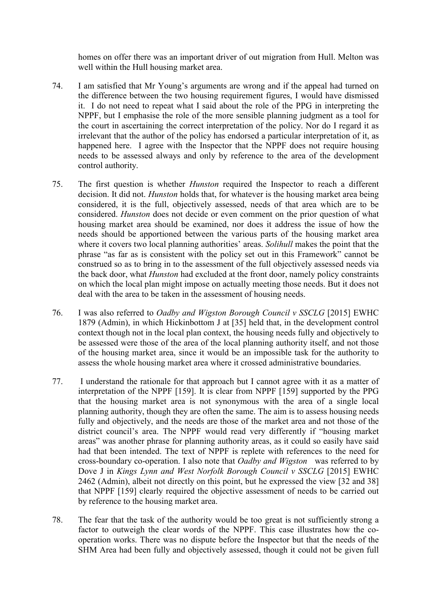homes on offer there was an important driver of out migration from Hull. Melton was well within the Hull housing market area.

- 74. I am satisfied that Mr Young's arguments are wrong and if the appeal had turned on the difference between the two housing requirement figures, I would have dismissed it. I do not need to repeat what I said about the role of the PPG in interpreting the NPPF, but I emphasise the role of the more sensible planning judgment as a tool for the court in ascertaining the correct interpretation of the policy. Nor do I regard it as irrelevant that the author of the policy has endorsed a particular interpretation of it, as happened here. I agree with the Inspector that the NPPF does not require housing needs to be assessed always and only by reference to the area of the development control authority.
- 75. The first question is whether *Hunston* required the Inspector to reach a different decision. It did not. *Hunston* holds that, for whatever is the housing market area being considered, it is the full, objectively assessed, needs of that area which are to be considered. *Hunston* does not decide or even comment on the prior question of what housing market area should be examined, nor does it address the issue of how the needs should be apportioned between the various parts of the housing market area where it covers two local planning authorities' areas. *Solihull* makes the point that the phrase "as far as is consistent with the policy set out in this Framework" cannot be construed so as to bring in to the assessment of the full objectively assessed needs via the back door, what *Hunston* had excluded at the front door, namely policy constraints on which the local plan might impose on actually meeting those needs. But it does not deal with the area to be taken in the assessment of housing needs.
- 76. I was also referred to *Oadby and Wigston Borough Council v SSCLG* [2015] EWHC 1879 (Admin), in which Hickinbottom J at [35] held that, in the development control context though not in the local plan context, the housing needs fully and objectively to be assessed were those of the area of the local planning authority itself, and not those of the housing market area, since it would be an impossible task for the authority to assess the whole housing market area where it crossed administrative boundaries.
- 77. I understand the rationale for that approach but I cannot agree with it as a matter of interpretation of the NPPF [159]. It is clear from NPPF [159] supported by the PPG that the housing market area is not synonymous with the area of a single local planning authority, though they are often the same. The aim is to assess housing needs fully and objectively, and the needs are those of the market area and not those of the district council's area. The NPPF would read very differently if "housing market areas" was another phrase for planning authority areas, as it could so easily have said had that been intended. The text of NPPF is replete with references to the need for cross-boundary co-operation. I also note that *Oadby and Wigston* was referred to by Dove J in *Kings Lynn and West Norfolk Borough Council v SSCLG* [2015] EWHC 2462 (Admin), albeit not directly on this point, but he expressed the view [32 and 38] that NPPF [159] clearly required the objective assessment of needs to be carried out by reference to the housing market area.
- 78. The fear that the task of the authority would be too great is not sufficiently strong a factor to outweigh the clear words of the NPPF. This case illustrates how the cooperation works. There was no dispute before the Inspector but that the needs of the SHM Area had been fully and objectively assessed, though it could not be given full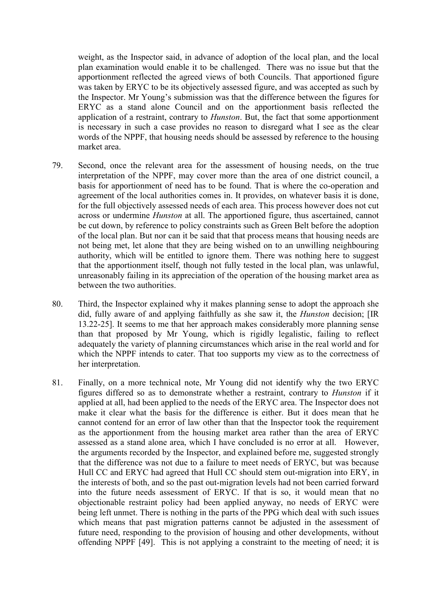weight, as the Inspector said, in advance of adoption of the local plan, and the local plan examination would enable it to be challenged. There was no issue but that the apportionment reflected the agreed views of both Councils. That apportioned figure was taken by ERYC to be its objectively assessed figure, and was accepted as such by the Inspector. Mr Young's submission was that the difference between the figures for ERYC as a stand alone Council and on the apportionment basis reflected the application of a restraint, contrary to *Hunston*. But, the fact that some apportionment is necessary in such a case provides no reason to disregard what I see as the clear words of the NPPF, that housing needs should be assessed by reference to the housing market area.

- 79. Second, once the relevant area for the assessment of housing needs, on the true interpretation of the NPPF, may cover more than the area of one district council, a basis for apportionment of need has to be found. That is where the co-operation and agreement of the local authorities comes in. It provides, on whatever basis it is done, for the full objectively assessed needs of each area. This process however does not cut across or undermine *Hunston* at all. The apportioned figure, thus ascertained, cannot be cut down, by reference to policy constraints such as Green Belt before the adoption of the local plan. But nor can it be said that that process means that housing needs are not being met, let alone that they are being wished on to an unwilling neighbouring authority, which will be entitled to ignore them. There was nothing here to suggest that the apportionment itself, though not fully tested in the local plan, was unlawful, unreasonably failing in its appreciation of the operation of the housing market area as between the two authorities.
- 80. Third, the Inspector explained why it makes planning sense to adopt the approach she did, fully aware of and applying faithfully as she saw it, the *Hunston* decision; [IR 13.22-25]. It seems to me that her approach makes considerably more planning sense than that proposed by Mr Young, which is rigidly legalistic, failing to reflect adequately the variety of planning circumstances which arise in the real world and for which the NPPF intends to cater. That too supports my view as to the correctness of her interpretation.
- 81. Finally, on a more technical note, Mr Young did not identify why the two ERYC figures differed so as to demonstrate whether a restraint, contrary to *Hunston* if it applied at all, had been applied to the needs of the ERYC area. The Inspector does not make it clear what the basis for the difference is either. But it does mean that he cannot contend for an error of law other than that the Inspector took the requirement as the apportionment from the housing market area rather than the area of ERYC assessed as a stand alone area, which I have concluded is no error at all. However, the arguments recorded by the Inspector, and explained before me, suggested strongly that the difference was not due to a failure to meet needs of ERYC, but was because Hull CC and ERYC had agreed that Hull CC should stem out-migration into ERY, in the interests of both, and so the past out-migration levels had not been carried forward into the future needs assessment of ERYC. If that is so, it would mean that no objectionable restraint policy had been applied anyway, no needs of ERYC were being left unmet. There is nothing in the parts of the PPG which deal with such issues which means that past migration patterns cannot be adjusted in the assessment of future need, responding to the provision of housing and other developments, without offending NPPF [49]. This is not applying a constraint to the meeting of need; it is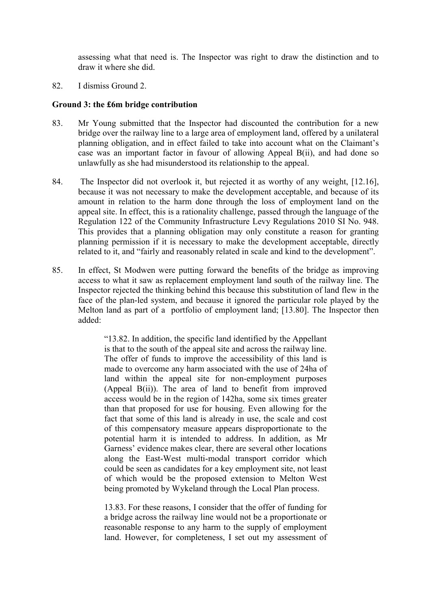assessing what that need is. The Inspector was right to draw the distinction and to draw it where she did.

82. I dismiss Ground 2.

#### **Ground 3: the £6m bridge contribution**

- 83. Mr Young submitted that the Inspector had discounted the contribution for a new bridge over the railway line to a large area of employment land, offered by a unilateral planning obligation, and in effect failed to take into account what on the Claimant's case was an important factor in favour of allowing Appeal B(ii), and had done so unlawfully as she had misunderstood its relationship to the appeal.
- 84. The Inspector did not overlook it, but rejected it as worthy of any weight, [12.16], because it was not necessary to make the development acceptable, and because of its amount in relation to the harm done through the loss of employment land on the appeal site. In effect, this is a rationality challenge, passed through the language of the Regulation 122 of the Community Infrastructure Levy Regulations 2010 SI No. 948. This provides that a planning obligation may only constitute a reason for granting planning permission if it is necessary to make the development acceptable, directly related to it, and "fairly and reasonably related in scale and kind to the development".
- 85. In effect, St Modwen were putting forward the benefits of the bridge as improving access to what it saw as replacement employment land south of the railway line. The Inspector rejected the thinking behind this because this substitution of land flew in the face of the plan-led system, and because it ignored the particular role played by the Melton land as part of a portfolio of employment land; [13.80]. The Inspector then added:

"13.82. In addition, the specific land identified by the Appellant is that to the south of the appeal site and across the railway line. The offer of funds to improve the accessibility of this land is made to overcome any harm associated with the use of 24ha of land within the appeal site for non-employment purposes (Appeal B(ii)). The area of land to benefit from improved access would be in the region of 142ha, some six times greater than that proposed for use for housing. Even allowing for the fact that some of this land is already in use, the scale and cost of this compensatory measure appears disproportionate to the potential harm it is intended to address. In addition, as Mr Garness' evidence makes clear, there are several other locations along the East-West multi-modal transport corridor which could be seen as candidates for a key employment site, not least of which would be the proposed extension to Melton West being promoted by Wykeland through the Local Plan process.

13.83. For these reasons, I consider that the offer of funding for a bridge across the railway line would not be a proportionate or reasonable response to any harm to the supply of employment land. However, for completeness, I set out my assessment of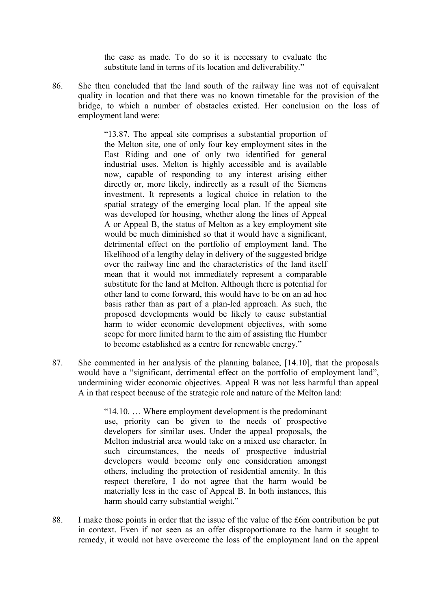the case as made. To do so it is necessary to evaluate the substitute land in terms of its location and deliverability."

86. She then concluded that the land south of the railway line was not of equivalent quality in location and that there was no known timetable for the provision of the bridge, to which a number of obstacles existed. Her conclusion on the loss of employment land were:

> "13.87. The appeal site comprises a substantial proportion of the Melton site, one of only four key employment sites in the East Riding and one of only two identified for general industrial uses. Melton is highly accessible and is available now, capable of responding to any interest arising either directly or, more likely, indirectly as a result of the Siemens investment. It represents a logical choice in relation to the spatial strategy of the emerging local plan. If the appeal site was developed for housing, whether along the lines of Appeal A or Appeal B, the status of Melton as a key employment site would be much diminished so that it would have a significant, detrimental effect on the portfolio of employment land. The likelihood of a lengthy delay in delivery of the suggested bridge over the railway line and the characteristics of the land itself mean that it would not immediately represent a comparable substitute for the land at Melton. Although there is potential for other land to come forward, this would have to be on an ad hoc basis rather than as part of a plan-led approach. As such, the proposed developments would be likely to cause substantial harm to wider economic development objectives, with some scope for more limited harm to the aim of assisting the Humber to become established as a centre for renewable energy."

87. She commented in her analysis of the planning balance, [14.10], that the proposals would have a "significant, detrimental effect on the portfolio of employment land", undermining wider economic objectives. Appeal B was not less harmful than appeal A in that respect because of the strategic role and nature of the Melton land:

> "14.10. … Where employment development is the predominant use, priority can be given to the needs of prospective developers for similar uses. Under the appeal proposals, the Melton industrial area would take on a mixed use character. In such circumstances, the needs of prospective industrial developers would become only one consideration amongst others, including the protection of residential amenity. In this respect therefore, I do not agree that the harm would be materially less in the case of Appeal B. In both instances, this harm should carry substantial weight."

88. I make those points in order that the issue of the value of the £6m contribution be put in context. Even if not seen as an offer disproportionate to the harm it sought to remedy, it would not have overcome the loss of the employment land on the appeal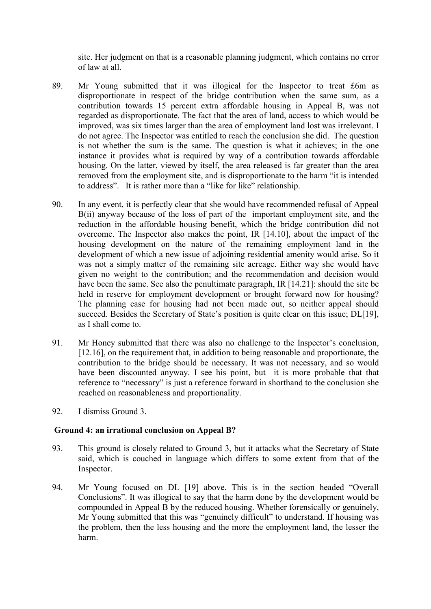site. Her judgment on that is a reasonable planning judgment, which contains no error of law at all.

- 89. Mr Young submitted that it was illogical for the Inspector to treat £6m as disproportionate in respect of the bridge contribution when the same sum, as a contribution towards 15 percent extra affordable housing in Appeal B, was not regarded as disproportionate. The fact that the area of land, access to which would be improved, was six times larger than the area of employment land lost was irrelevant. I do not agree. The Inspector was entitled to reach the conclusion she did. The question is not whether the sum is the same. The question is what it achieves; in the one instance it provides what is required by way of a contribution towards affordable housing. On the latter, viewed by itself, the area released is far greater than the area removed from the employment site, and is disproportionate to the harm "it is intended to address". It is rather more than a "like for like" relationship.
- 90. In any event, it is perfectly clear that she would have recommended refusal of Appeal B(ii) anyway because of the loss of part of the important employment site, and the reduction in the affordable housing benefit, which the bridge contribution did not overcome. The Inspector also makes the point, IR [14.10], about the impact of the housing development on the nature of the remaining employment land in the development of which a new issue of adjoining residential amenity would arise. So it was not a simply matter of the remaining site acreage. Either way she would have given no weight to the contribution; and the recommendation and decision would have been the same. See also the penultimate paragraph, IR [14.21]: should the site be held in reserve for employment development or brought forward now for housing? The planning case for housing had not been made out, so neither appeal should succeed. Besides the Secretary of State's position is quite clear on this issue; DL[19], as I shall come to.
- 91. Mr Honey submitted that there was also no challenge to the Inspector's conclusion, [12.16], on the requirement that, in addition to being reasonable and proportionate, the contribution to the bridge should be necessary. It was not necessary, and so would have been discounted anyway. I see his point, but it is more probable that that reference to "necessary" is just a reference forward in shorthand to the conclusion she reached on reasonableness and proportionality.
- 92. I dismiss Ground 3.

#### **Ground 4: an irrational conclusion on Appeal B?**

- 93. This ground is closely related to Ground 3, but it attacks what the Secretary of State said, which is couched in language which differs to some extent from that of the Inspector.
- 94. Mr Young focused on DL [19] above. This is in the section headed "Overall Conclusions". It was illogical to say that the harm done by the development would be compounded in Appeal B by the reduced housing. Whether forensically or genuinely, Mr Young submitted that this was "genuinely difficult" to understand. If housing was the problem, then the less housing and the more the employment land, the lesser the harm.